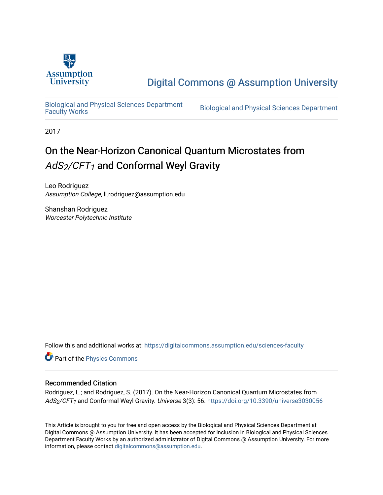

## [Digital Commons @ Assumption University](https://digitalcommons.assumption.edu/)

[Biological and Physical Sciences Department](https://digitalcommons.assumption.edu/sciences-faculty)

Biological and Physical Sciences Department

2017

# On the Near-Horizon Canonical Quantum Microstates from  $AdS_2/CFT_1$  and Conformal Weyl Gravity

Leo Rodriguez Assumption College, ll.rodriguez@assumption.edu

Shanshan Rodriguez Worcester Polytechnic Institute

Follow this and additional works at: [https://digitalcommons.assumption.edu/sciences-faculty](https://digitalcommons.assumption.edu/sciences-faculty?utm_source=digitalcommons.assumption.edu%2Fsciences-faculty%2F1&utm_medium=PDF&utm_campaign=PDFCoverPages) 

Part of the [Physics Commons](http://network.bepress.com/hgg/discipline/193?utm_source=digitalcommons.assumption.edu%2Fsciences-faculty%2F1&utm_medium=PDF&utm_campaign=PDFCoverPages)

## Recommended Citation

Rodriguez, L.; and Rodriguez, S. (2017). On the Near-Horizon Canonical Quantum Microstates from AdS<sub>2</sub>/CFT<sub>1</sub> and Conformal Weyl Gravity. Universe 3(3): 56. <https://doi.org/10.3390/universe3030056>

This Article is brought to you for free and open access by the Biological and Physical Sciences Department at Digital Commons @ Assumption University. It has been accepted for inclusion in Biological and Physical Sciences Department Faculty Works by an authorized administrator of Digital Commons @ Assumption University. For more information, please contact [digitalcommons@assumption.edu.](mailto:digitalcommons@assumption.edu)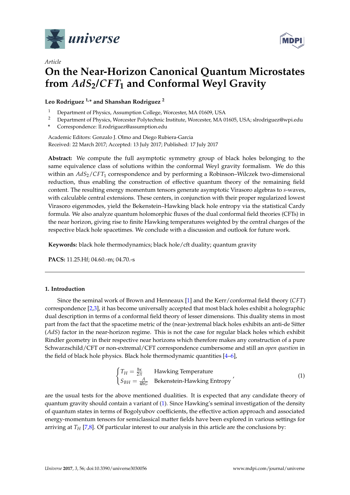

*Article*



## **On the Near-Horizon Canonical Quantum Microstates from** *AdS***2/***CFT***<sup>1</sup> and Conformal Weyl Gravity**

## **Leo Rodriguez 1,\* and Shanshan Rodriguez <sup>2</sup>**

- <sup>1</sup> Department of Physics, Assumption College, Worcester, MA 01609, USA
- <sup>2</sup> Department of Physics, Worcester Polytechnic Institute, Worcester, MA 01605, USA; slrodriguez@wpi.edu
- **\*** Correspondence: ll.rodriguez@assumption.edu

Academic Editors: Gonzalo J. Olmo and Diego Rubiera-Garcia Received: 22 March 2017; Accepted: 13 July 2017; Published: 17 July 2017

**Abstract:** We compute the full asymptotic symmetry group of black holes belonging to the same equivalence class of solutions within the conformal Weyl gravity formalism. We do this within an *AdS*2/*CFT*<sup>1</sup> correspondence and by performing a Robinson–Wilczek two-dimensional reduction, thus enabling the construction of effective quantum theory of the remaining field content. The resulting energy momentum tensors generate asymptotic Virasoro algebras to *s*-waves, with calculable central extensions. These centers, in conjunction with their proper regularized lowest Virasoro eigenmodes, yield the Bekenstein–Hawking black hole entropy via the statistical Cardy formula. We also analyze quantum holomorphic fluxes of the dual conformal field theories (CFTs) in the near horizon, giving rise to finite Hawking temperatures weighted by the central charges of the respective black hole spacetimes. We conclude with a discussion and outlook for future work.

**Keywords:** black hole thermodynamics; black hole/cft duality; quantum gravity

**PACS:** 11.25.Hf; 04.60.-m; 04.70.-s

## **1. Introduction**

Since the seminal work of Brown and Henneaux [\[1\]](#page-16-0) and the Kerr/conformal field theory (*CFT*) correspondence [\[2,](#page-17-0)[3\]](#page-17-1), it has become universally accepted that most black holes exhibit a holographic dual description in terms of a conformal field theory of lesser dimensions. This duality stems in most part from the fact that the spacetime metric of the (near-)extremal black holes exhibits an anti-de Sitter (*AdS*) factor in the near-horizon regime. This is not the case for regular black holes which exhibit Rindler geometry in their respective near horizons which therefore makes any construction of a pure Schwarzschild/CFT or non-extremal/CFT correspondence cumbersome and still an *open question* in the field of black hole physics. Black hole thermodynamic quantities [\[4–](#page-17-2)[6\]](#page-17-3),

<span id="page-1-0"></span>
$$
\begin{cases}\nT_H = \frac{\hbar \kappa}{2\pi} & \text{Hawking Temperature} \\
S_{BH} = \frac{A}{4\hbar G} & \text{Bekenstein-Hawking Entropy}\n\end{cases}
$$
\n(1)

are the usual tests for the above mentioned dualities. It is expected that any candidate theory of quantum gravity should contain a variant of [\(1\)](#page-1-0). Since Hawking's seminal investigation of the density of quantum states in terms of Bogolyubov coefficients, the effective action approach and associated energy-momentum tensors for semiclassical matter fields have been explored in various settings for arriving at  $T_H$  [\[7](#page-17-4)[,8\]](#page-17-5). Of particular interest to our analysis in this article are the conclusions by: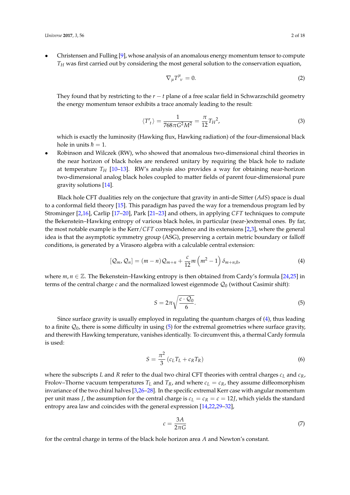• Christensen and Fulling [\[9\]](#page-17-6), whose analysis of an anomalous energy momentum tensor to compute *T<sup>H</sup>* was first carried out by considering the most general solution to the conservation equation,

$$
\nabla_{\mu}T^{\mu}_{\ \nu}=0.\tag{2}
$$

They found that by restricting to the *r* − *t* plane of a free scalar field in Schwarzschild geometry the energy momentum tensor exhibits a trace anomaly leading to the result:

$$
\langle T'_{t}\rangle = \frac{1}{768\pi G^{2}M^{2}} = \frac{\pi}{12}T_{H}^{2},\tag{3}
$$

which is exactly the luminosity (Hawking flux, Hawking radiation) of the four-dimensional black hole in units  $\hbar = 1$ .

• Robinson and Wilczek (RW), who showed that anomalous two-dimensional chiral theories in the near horizon of black holes are rendered unitary by requiring the black hole to radiate at temperature *T<sup>H</sup>* [\[10–](#page-17-7)[13\]](#page-17-8). RW's analysis also provides a way for obtaining near-horizon two-dimensional analog black holes coupled to matter fields of parent four-dimensional pure gravity solutions [\[14\]](#page-17-9).

Black hole CFT dualities rely on the conjecture that gravity in anti-de Sitter (*AdS*) space is dual to a conformal field theory [\[15\]](#page-17-10). This paradigm has paved the way for a tremendous program led by Strominger [\[2,](#page-17-0)[16\]](#page-17-11), Carlip [\[17–](#page-17-12)[20\]](#page-17-13), Park [\[21–](#page-17-14)[23\]](#page-17-15) and others, in applying *CFT* techniques to compute the Bekenstein–Hawking entropy of various black holes, in particular (near-)extremal ones. By far, the most notable example is the Kerr/*CFT* correspondence and its extensions [\[2](#page-17-0)[,3\]](#page-17-1), where the general idea is that the asymptotic symmetry group (ASG), preserving a certain metric boundary or falloff conditions, is generated by a Virasoro algebra with a calculable central extension:

$$
[Q_m, Q_n] = (m-n)Q_{m+n} + \frac{c}{12}m\left(m^2 - 1\right)\delta_{m+n,0},\tag{4}
$$

where  $m, n \in \mathbb{Z}$ . The Bekenstein–Hawking entropy is then obtained from Cardy's formula [\[24,](#page-17-16)[25\]](#page-17-17) in terms of the central charge  $c$  and the normalized lowest eigenmode  $\mathcal{Q}_0$  (without Casimir shift):

<span id="page-2-1"></span><span id="page-2-0"></span>
$$
S = 2\pi \sqrt{\frac{c \cdot \mathcal{Q}_0}{6}}.\tag{5}
$$

Since surface gravity is usually employed in regulating the quantum charges of [\(4\)](#page-2-0), thus leading to a finite  $\mathcal{Q}_0$ , there is some difficulty in using [\(5\)](#page-2-1) for the extremal geometries where surface gravity, and therewith Hawking temperature, vanishes identically. To circumvent this, a thermal Cardy formula is used:

$$
S = \frac{\pi^2}{3} \left( c_L T_L + c_R T_R \right) \tag{6}
$$

where the subscripts *L* and *R* refer to the dual two chiral CFT theories with central charges *c<sup>L</sup>* and *cR*, Frolov–Thorne vacuum temperatures  $T_L$  and  $T_R$ , and where  $c_L = c_R$ , they assume diffeomorphism invariance of the two chiral halves [\[3](#page-17-1)[,26](#page-17-18)[–28\]](#page-17-19). In the specific extremal Kerr case with angular momentum per unit mass *J*, the assumption for the central charge is  $c_L = c_R = c = 12$ *J*, which yields the standard entropy area law and coincides with the general expression [\[14,](#page-17-9)[22,](#page-17-20)[29–](#page-17-21)[32\]](#page-18-0),

<span id="page-2-3"></span><span id="page-2-2"></span>
$$
c = \frac{3A}{2\pi G} \tag{7}
$$

for the central charge in terms of the black hole horizon area *A* and Newton's constant.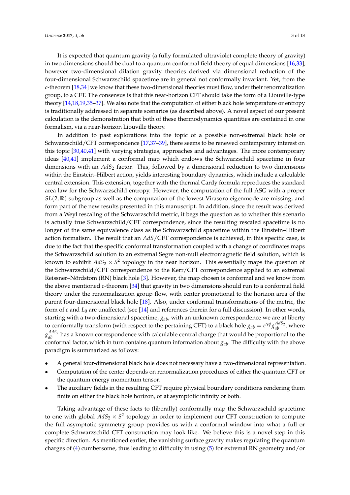It is expected that quantum gravity (a fully formulated ultraviolet complete theory of gravity) in two dimensions should be dual to a quantum conformal field theory of equal dimensions [\[16,](#page-17-11)[33\]](#page-18-1), however two-dimensional dilation gravity theories derived via dimensional reduction of the four-dimensional Schwarzschild spacetime are in general not conformally invariant. Yet, from the *c*-theorem [\[18](#page-17-22)[,34\]](#page-18-2) we know that these two-dimensional theories must flow, under their renormalization group, to a CFT. The consensus is that this near-horizon CFT should take the form of a Liouville-type theory [\[14,](#page-17-9)[18](#page-17-22)[,19](#page-17-23)[,35–](#page-18-3)[37\]](#page-18-4). We also note that the computation of either black hole temperature or entropy is traditionally addressed in separate scenarios (as described above). A novel aspect of our present calculation is the demonstration that both of these thermodynamics quantities are contained in one formalism, via a near-horizon Liouville theory.

In addition to past explorations into the topic of a possible non-extremal black hole or Schwarzschild/CFT correspondence [\[17,](#page-17-12)[37–](#page-18-4)[39\]](#page-18-5), there seems to be renewed contemporary interest on this topic [\[30](#page-17-24)[,40](#page-18-6)[,41\]](#page-18-7) with varying strategies, approaches and advantages. The more contemporary ideas [\[40](#page-18-6)[,41\]](#page-18-7) implement a conformal map which endows the Schwarzschild spacetime in four dimensions with an *AdS*<sup>2</sup> factor. This, followed by a dimensional reduction to two dimensions within the Einstein–Hilbert action, yields interesting boundary dynamics, which include a calculable central extension. This extension, together with the thermal Cardy formula reproduces the standard area law for the Schwarzschild entropy. However, the computation of the full ASG with a proper *SL*(2, R) subgroup as well as the computation of the lowest Virasoro eigenmode are missing, and form part of the new results presented in this manuscript. In addition, since the result was derived from a Weyl rescaling of the Schwarzschild metric, it begs the question as to whether this scenario is actually true Schwarzschild/CFT correspondence, since the resulting rescaled spacetime is no longer of the same equivalence class as the Schwarzschild spacetime within the Einstein–Hilbert action formalism. The result that an *AdS*/CFT correspondence is achieved, in this specific case, is due to the fact that the specific conformal transformation coupled with a change of coordinates maps the Schwarzschild solution to an extremal Segre non-null electromagnetic field solution, which is known to exhibit  $AdS_2 \times S^2$  topology in the near horizon. This essentially maps the question of the Schwarzschild/CFT correspondence to the Kerr/CFT correspondence applied to an extremal Reissner–Nördstom (RN) black hole [\[3\]](#page-17-1). However, the map chosen is conformal and we know from the above mentioned *c*-theorem [\[34\]](#page-18-2) that gravity in two dimensions should run to a conformal field theory under the renormalization group flow, with center promotional to the horizon area of the parent four-dimensional black hole [\[18\]](#page-17-22). Also, under conformal transformations of the metric, the form of *c* and *L*<sup>0</sup> are unaffected (see [\[14\]](#page-17-9) and references therein for a full discussion). In other words, starting with a two-dimensional spacetime, *gab*, with an unknown correspondence we are at liberty to conformally transform (with respect to the pertaining CFT) to a black hole  $g_{ab} = e^{\gamma \phi} g_{ab}^{AdS_2}$ , where  $g_{ab}^{AdS_2}$  has a known correspondence with calculable central charge that would be proportional to the conformal factor, which in turn contains quantum information about *gab*. The difficulty with the above paradigm is summarized as follows:

- A general four-dimensional black hole does not necessary have a two-dimensional representation.
- Computation of the center depends on renormalization procedures of either the quantum CFT or the quantum energy momentum tensor.
- The auxiliary fields in the resulting CFT require physical boundary conditions rendering them finite on either the black hole horizon, or at asymptotic infinity or both.

Taking advantage of these facts to (liberally) conformally map the Schwarzschild spacetime to one with global  $AdS_2 \times S^2$  topology in order to implement our CFT construction to compute the full asymptotic symmetry group provides us with a conformal window into what a full or complete Schwarzschild CFT construction may look like. We believe this is a novel step in this specific direction. As mentioned earlier, the vanishing surface gravity makes regulating the quantum charges of [\(4\)](#page-2-0) cumbersome, thus leading to difficulty in using [\(5\)](#page-2-1) for extremal RN geometry and/or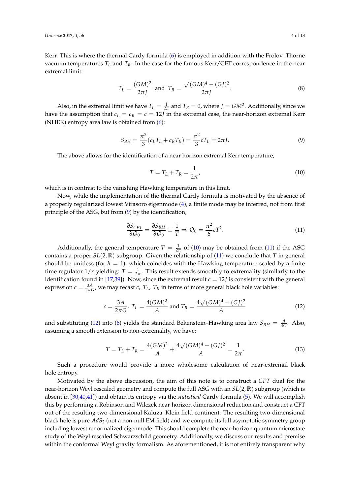Kerr. This is where the thermal Cardy formula [\(6\)](#page-2-2) is employed in addition with the Frolov–Thorne vacuum temperatures  $T_L$  and  $T_R$ . In the case for the famous Kerr/CFT correspondence in the near extremal limit:

$$
T_L = \frac{(GM)^2}{2\pi J} \text{ and } T_R = \frac{\sqrt{(GM)^4 - (GJ)^2}}{2\pi J}.
$$
 (8)

Also, in the extremal limit we have  $T_L = \frac{1}{2\pi}$  and  $T_R = 0$ , where  $J = GM^2$ . Additionally, since we have the assumption that  $c_L = c_R = c = 12$ *J* in the extremal case, the near-horizon extremal Kerr (NHEK) entropy area law is obtained from  $(6)$ :

$$
S_{BH} = \frac{\pi^2}{3} (c_L T_L + c_R T_R) = \frac{\pi^2}{3} c T_L = 2\pi J.
$$
 (9)

The above allows for the identification of a near horizon extremal Kerr temperature,

<span id="page-4-2"></span><span id="page-4-1"></span><span id="page-4-0"></span>
$$
T = T_L + T_R = \frac{1}{2\pi'},
$$
\n(10)

which is in contrast to the vanishing Hawking temperature in this limit.

Now, while the implementation of the thermal Cardy formula is motivated by the absence of a properly regularized lowest Virasoro eigenmode [\(4\)](#page-2-0), a finite mode may be inferred, not from first principle of the ASG, but from [\(9\)](#page-4-0) by the identification,

<span id="page-4-3"></span>
$$
\frac{\partial S_{CFT}}{\partial Q_0} = \frac{\partial S_{BH}}{\partial Q_0} \equiv \frac{1}{T} \Rightarrow Q_0 = \frac{\pi^2}{6} c T^2.
$$
 (11)

Additionally, the general temperature  $T = \frac{1}{2\pi}$  of [\(10\)](#page-4-1) may be obtained from [\(11\)](#page-4-2) if the ASG contains a proper *SL*(2, R) subgroup. Given the relationship of [\(11\)](#page-4-2) we conclude that *T* in general should be unitless (for  $\hbar = 1$ ), which coincides with the Hawking temperature scaled by a finite time regulator  $1/\kappa$  yielding:  $T = \frac{1}{2\pi}$ . This result extends smoothly to extremality (similarly to the identification found in [\[17](#page-17-12)[,39\]](#page-18-5)). Now, since the extremal result  $c = 12$ *J* is consistent with the general expression  $c = \frac{3A}{2\pi G}$ , we may recast *c*,  $T_L$ ,  $T_R$  in terms of more general black hole variables:

$$
c = \frac{3A}{2\pi G}, T_L = \frac{4(GM)^2}{A} \text{ and } T_R = \frac{4\sqrt{(GM)^4 - (GJ)^2}}{A}
$$
 (12)

and substituting [\(12\)](#page-4-3) into [\(6\)](#page-2-2) yields the standard Bekenstein–Hawking area law  $S_{BH} = \frac{A}{4G}$ . Also, assuming a smooth extension to non-extremality, we have:

$$
T = T_L + T_R = \frac{4(GM)^2}{A} + \frac{4\sqrt{(GM)^4 - (GJ)^2}}{A} = \frac{1}{2\pi}.
$$
 (13)

Such a procedure would provide a more wholesome calculation of near-extremal black hole entropy.

Motivated by the above discussion, the aim of this note is to construct a *CFT* dual for the near-horizon Weyl rescaled geometry and compute the full ASG with an *SL*(2, R) subgroup (which is absent in [\[30,](#page-17-24)[40,](#page-18-6)[41\]](#page-18-7)) and obtain its entropy via the *statistical* Cardy formula [\(5\)](#page-2-1). We will accomplish this by performing a Robinson and Wilczek near-horizon dimensional reduction and construct a CFT out of the resulting two-dimensional Kaluza–Klein field continent. The resulting two-dimensional black hole is pure *AdS*<sup>2</sup> (not a non-null EM field) and we compute its full asymptotic symmetry group including lowest renormalized eigenmode. This should complete the near-horizon quantum microstate study of the Weyl rescaled Schwarzschild geometry. Additionally, we discuss our results and premise within the conformal Weyl gravity formalism. As aforementioned, it is not entirely transparent why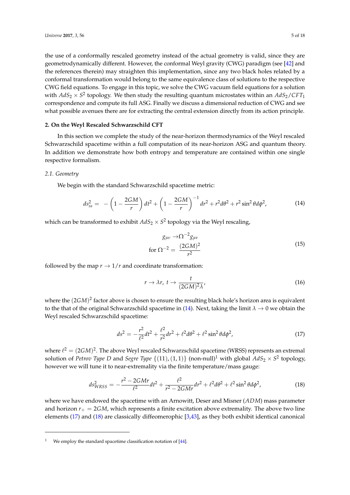the use of a conformally rescaled geometry instead of the actual geometry is valid, since they are geometrodynamically different. However, the conformal Weyl gravity (CWG) paradigm (see [\[42\]](#page-18-8) and the references therein) may straighten this implementation, since any two black holes related by a conformal transformation would belong to the same equivalence class of solutions to the respective CWG field equations. To engage in this topic, we solve the CWG vacuum field equations for a solution with  $AdS_2 \times S^2$  topology. We then study the resulting quantum microstates within an  $AdS_2/CFT_1$ correspondence and compute its full ASG. Finally we discuss a dimensional reduction of CWG and see what possible avenues there are for extracting the central extension directly from its action principle.

## **2. On the Weyl Rescaled Schwarzschild CFT**

In this section we complete the study of the near-horizon thermodynamics of the Weyl rescaled Schwarzschild spacetime within a full computation of its near-horizon ASG and quantum theory. In addition we demonstrate how both entropy and temperature are contained within one single respective formalism.

#### *2.1. Geometry*

We begin with the standard Schwarzschild spacetime metric:

$$
ds_{ss}^{2} = -\left(1 - \frac{2GM}{r}\right)dt^{2} + \left(1 - \frac{2GM}{r}\right)^{-1}dr^{2} + r^{2}d\theta^{2} + r^{2}\sin^{2}\theta d\phi^{2},
$$
(14)

which can be transformed to exhibit  $AdS_2 \times S^2$  topology via the Weyl rescaling,

<span id="page-5-0"></span>
$$
g_{\mu\nu} \rightarrow \Omega^{-2} g_{\mu\nu}
$$
  
for 
$$
\Omega^{-2} = \frac{(2GM)^2}{r^2}
$$
 (15)

followed by the map  $r \rightarrow 1/r$  and coordinate transformation:

<span id="page-5-2"></span><span id="page-5-1"></span>
$$
r \to \lambda r, \ t \to \frac{t}{(2GM)^2 \lambda'}, \tag{16}
$$

where the (2*GM*) 2 factor above is chosen to ensure the resulting black hole's horizon area is equivalent to the that of the original Schwarzschild spacetime in [\(14\)](#page-5-0). Next, taking the limit  $\lambda \to 0$  we obtain the Weyl rescaled Schwarzschild spacetime:

$$
ds^{2} = -\frac{r^{2}}{\ell^{2}}dt^{2} + \frac{\ell^{2}}{r^{2}}dr^{2} + \ell^{2}d\theta^{2} + \ell^{2}\sin^{2}\theta d\phi^{2},
$$
 (17)

where  $\ell^2 = (2GM)^2$ . The above Weyl rescaled Schwarzschild spacetime (WRSS) represents an extremal solution of *Petrov Type D* and *Segre Type*  $\{(11),(1,1)\}$  (non-null)<sup>1</sup> with global  $AdS_2\times S^2$  topology, however we will tune it to near-extremality via the finite temperature/mass gauge:

$$
ds_{WRSS}^2 = -\frac{r^2 - 2GMr}{\ell^2}dt^2 + \frac{\ell^2}{r^2 - 2GMr}dr^2 + \ell^2d\theta^2 + \ell^2\sin^2\theta d\phi^2,
$$
 (18)

where we have endowed the spacetime with an Arnowitt, Deser and Misner (*ADM*) mass parameter and horizon  $r_{+} = 2GM$ , which represents a finite excitation above extremality. The above two line elements [\(17\)](#page-5-1) and [\(18\)](#page-5-2) are classically diffeomerophic [\[3](#page-17-1)[,43\]](#page-18-9), as they both exhibit identical canonical

We employ the standard spacetime classification notation of [\[44\]](#page-18-10).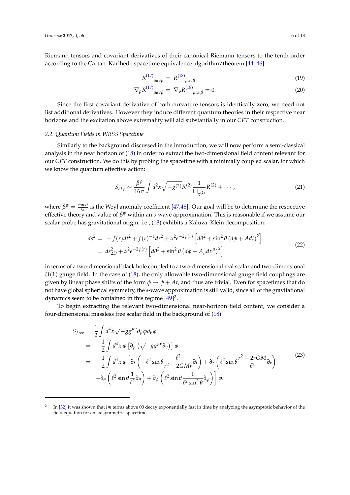Riemann tensors and covariant derivatives of their canonical Riemann tensors to the tenth order according to the Cartan–Karlhede spacetime equivalence algorithm/theorem [\[44](#page-18-10)[–46\]](#page-18-11):

$$
R^{(17)}_{\ \ \mu\alpha\nu\beta} = R^{(18)}_{\ \ \mu\alpha\nu\beta} \tag{19}
$$

$$
\nabla_{\rho} R^{(17)}_{\mu\alpha\nu\beta} = \nabla_{\rho} R^{(18)}_{\mu\alpha\nu\beta} = 0.
$$
 (20)

Since the first covariant derivative of both curvature tensors is identically zero, we need not list additional derivatives. However they induce different quantum theories in their respective near horizons and the excitation above extremality will aid substantially in our *CFT* construction.

#### <span id="page-6-1"></span>*2.2. Quantum Fields in WRSS Spacetime*

Similarly to the background discussed in the introduction, we will now perform a semi-classical analysis in the near horizon of [\(18\)](#page-5-2) in order to extract the two-dimensional field content relevant for our *CFT* construction. We do this by probing the spacetime with a minimally coupled scalar, for which we know the quantum effective action:

<span id="page-6-0"></span>
$$
S_{eff} \sim \frac{\bar{\beta}^{\psi}}{16\pi} \int d^2x \sqrt{-g^{(2)}} R^{(2)} \frac{1}{\Box_{g^{(2)}} R^{(2)}} + \cdots , \qquad (21)
$$

where  $\bar{\beta}^{\psi} = \frac{const}{G}$  is the Weyl anomaly coefficient [\[47](#page-18-12)[,48\]](#page-18-13). Our goal will be to determine the respective effective theory and value of  $\bar{\beta}^{\psi}$  within an *s*-wave approximation. This is reasonable if we assume our scalar probe has gravitational origin, i.e., [\(18\)](#page-5-2) exhibits a Kaluza–Klein decomposition:

$$
ds^{2} = -f(r)dt^{2} + f(r)^{-1}dr^{2} + \alpha^{2}e^{-2\psi(r)} \left[d\theta^{2} + \sin^{2}\theta \left(d\phi + Adt\right)^{2}\right]
$$
  
=  $ds_{2D}^{2} + \alpha^{2}e^{-2\psi(r)} \left[d\theta^{2} + \sin^{2}\theta \left(d\phi + A_{\mu}dx^{\mu}\right)^{2}\right]$  (22)

in terms of a two-dimensional black hole coupled to a two-dimensional real scalar and two-dimensional *U*(1) gauge field. In the case of [\(18\)](#page-5-2), the only allowable two-dimensional gauge field couplings are given by linear phase shifts of the form  $\phi \rightarrow \phi + At$ , and thus are trivial. Even for spacetimes that do not have global spherical symmetry, the *s*-wave approximation is still valid, since all of the gravitational dynamics seem to be contained in this regime [\[49\]](#page-18-14)<sup>2</sup>.

To begin extracting the relevant two-dimensional near-horizon field content, we consider a four-dimensional massless free scalar field in the background of [\(18\)](#page-5-2):

$$
S_{free} = \frac{1}{2} \int d^4x \sqrt{-g} g^{\mu\nu} \partial_{\mu} \varphi \partial_{\nu} \varphi
$$
  
\n
$$
= -\frac{1}{2} \int d^4x \varphi \left[ \partial_{\mu} \left( \sqrt{-g} g^{\mu\nu} \partial_{\nu} \right) \right] \varphi
$$
  
\n
$$
= -\frac{1}{2} \int d^4x \varphi \left[ \partial_t \left( -\ell^2 \sin \theta \frac{\ell^2}{r^2 - 2GMr} \partial_t \right) + \partial_r \left( \ell^2 \sin \theta \frac{r^2 - 2rGM}{\ell^2} \partial_r \right) \right]
$$
  
\n
$$
+ \partial_{\theta} \left( \ell^2 \sin \theta \frac{1}{\ell^2} \partial_{\theta} \right) + \partial_{\phi} \left( \ell^2 \sin \theta \frac{1}{\ell^2 \sin^2 \theta} \partial_{\phi} \right) \right] \varphi.
$$
  
\n(23)

<sup>2</sup> In [\[32\]](#page-18-0) it was shown that *lm* terms above 00 decay exponentially fast in time by analyzing the asymptotic behavior of the field equation for an axisymmetric spacetime.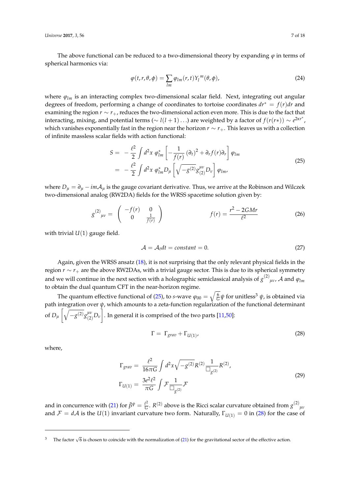The above functional can be reduced to a two-dimensional theory by expanding  $\varphi$  in terms of spherical harmonics via:

<span id="page-7-4"></span>
$$
\varphi(t,r,\theta,\phi) = \sum_{lm} \varphi_{lm}(r,t) Y_l^m(\theta,\phi), \qquad (24)
$$

where  $\varphi_{lm}$  is an interacting complex two-dimensional scalar field. Next, integrating out angular degrees of freedom, performing a change of coordinates to tortoise coordinates *dr*<sup>∗</sup> = *f*(*r*)*dr* and examining the region *r* ∼ *r*+, reduces the two-dimensional action even more. This is due to the fact that interacting, mixing, and potential terms ( $\sim l(l+1)...$ ) are weighted by a factor of  $f(r(r*)) \sim e^{2\kappa r^*}$ , which vanishes exponentially fast in the region near the horizon *r* ∼ *r*+. This leaves us with a collection of infinite massless scalar fields with action functional:

$$
S = -\frac{\ell^2}{2} \int d^2 x \; \varphi_{lm}^* \left[ -\frac{1}{f(r)} (\partial_t)^2 + \partial_r f(r) \partial_r \right] \varphi_{lm} = -\frac{\ell^2}{2} \int d^2 x \; \varphi_{lm}^* D_\mu \left[ \sqrt{-g^{(2)}} g_{(2)}^{\mu\nu} D_\nu \right] \varphi_{lm},
$$
(25)

where  $D_{\mu} = \partial_{\mu} - imA_{\mu}$  is the gauge covariant derivative. Thus, we arrive at the Robinson and Wilczek two-dimensional analog (RW2DA) fields for the WRSS spacetime solution given by:

$$
g^{(2)}_{\mu\nu} = \begin{pmatrix} -f(r) & 0\\ 0 & \frac{1}{f(r)} \end{pmatrix} \qquad f(r) = \frac{r^2 - 2GMr}{\ell^2} \tag{26}
$$

with trivial  $U(1)$  gauge field.

<span id="page-7-3"></span><span id="page-7-0"></span>
$$
\mathcal{A} = \mathcal{A}_t dt = constant = 0. \tag{27}
$$

Again, given the WRSS ansatz [\(18\)](#page-5-2), it is not surprising that the only relevant physical fields in the region *r* ∼ *r*<sup>+</sup> are the above RW2DAs, with a trivial gauge sector. This is due to its spherical symmetry and we will continue in the next section with a holographic semiclassical analysis of  $g^{(2)}_{\;\;\;\;\mu\nu}$ ,  ${\cal A}$  and  $\varphi_{lm}$ to obtain the dual quantum CFT in the near-horizon regime.

The quantum effective functional of [\(25\)](#page-7-0), to *s*-wave  $\varphi_{00}=\sqrt{\frac{6}{G}}\psi$  for unitless<sup>3</sup>  $\psi$ , is obtained via path integration over *ψ*, which amounts to a zeta-function regularization of the functional determinant of  $D_{\mu} \left[ \sqrt{-g^{(2)}} g_{(2)}^{\mu \nu} \right]$  $\left[\begin{smallmatrix} \mu\nu \ (2) D_{\nu} \end{smallmatrix}\right]$ . In general it is comprised of the two parts [\[11](#page-17-25)[,50\]](#page-18-15):

<span id="page-7-2"></span><span id="page-7-1"></span>
$$
\Gamma = \Gamma_{grav} + \Gamma_{U(1)} \tag{28}
$$

where,

$$
\Gamma_{grav} = \frac{\ell^2}{16\pi G} \int d^2x \sqrt{-g^{(2)}} R^{(2)} \frac{1}{\Box_{g^{(2)}} R^{(2)}},
$$
\n
$$
\Gamma_{U(1)} = \frac{3e^2\ell^2}{\pi G} \int \mathcal{F} \frac{1}{\Box_{g^{(2)}} \mathcal{F}} \tag{29}
$$

and in concurrence with [\(21\)](#page-6-0) for  $\bar{\beta}^{\psi} = \frac{\ell^2}{G}$  $\frac{\ell^2}{G}$ . *R*<sup>(2)</sup> above is the Ricci scalar curvature obtained from *g*<sup>(2)</sup><sub>μν</sub> and  $\mathcal{F} = d\mathcal{A}$  is the *U*(1) invariant curvature two form. Naturally,  $\Gamma_{U(1)} = 0$  in [\(28\)](#page-7-1) for the case of

<sup>&</sup>lt;sup>3</sup> The factor  $\sqrt{6}$  is chosen to coincide with the normalization of [\(21\)](#page-6-0) for the gravitational sector of the effective action.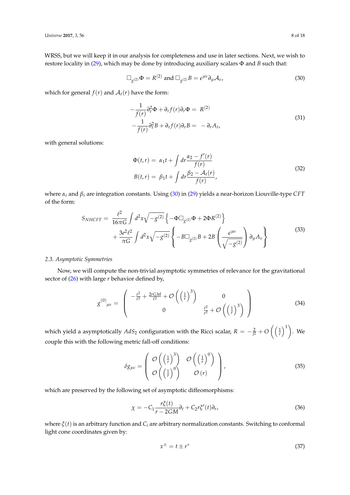WRSS, but we will keep it in our analysis for completeness and use in later sections. Next, we wish to restore locality in [\(29\)](#page-7-2), which may be done by introducing auxiliary scalars Φ and *B* such that:

$$
\Box_{g^{(2)}} \Phi = R^{(2)} \text{ and } \Box_{g^{(2)}} B = \epsilon^{\mu\nu} \partial_{\mu} \mathcal{A}_{\nu}, \tag{30}
$$

which for general  $f(r)$  and  $A_t(r)$  have the form:

<span id="page-8-0"></span>
$$
-\frac{1}{f(r)}\partial_t^2 \Phi + \partial_r f(r) \partial_r \Phi = R^{(2)}
$$
  

$$
-\frac{1}{f(r)}\partial_t^2 B + \partial_r f(r) \partial_r B = -\partial_r A_t,
$$
 (31)

with general solutions:

<span id="page-8-4"></span><span id="page-8-2"></span>
$$
\Phi(t,r) = \alpha_1 t + \int dr \frac{\alpha_2 - f'(r)}{f(r)}
$$
  
\n
$$
B(t,r) = \beta_1 t + \int dr \frac{\beta_2 - A_t(r)}{f(r)},
$$
\n(32)

where *α<sup>i</sup>* and *β<sup>i</sup>* are integration constants. Using [\(30\)](#page-8-0) in [\(29\)](#page-7-2) yields a near-horizon Liouville-type *CFT* of the form:

$$
S_{NHCFT} = \frac{\ell^2}{16\pi G} \int d^2x \sqrt{-g^{(2)}} \left\{-\Phi \Box_{g^{(2)}} \Phi + 2\Phi R^{(2)}\right\} + \frac{3e^2 \ell^2}{\pi G} \int d^2x \sqrt{-g^{(2)}} \left\{-B \Box_{g^{(2)}} B + 2B \left(\frac{\epsilon^{\mu\nu}}{\sqrt{-g^{(2)}}}\right) \partial_{\mu} A_{\nu}\right\}
$$
(33)

## *2.3. Asymptotic Symmetries*

Now, we will compute the non-trivial asymptotic symmetries of relevance for the gravitational sector of [\(26\)](#page-7-3) with large *r* behavior defined by,

$$
g^{(0)}_{\mu\nu} = \begin{pmatrix} -\frac{r^2}{\ell^2} + \frac{2rGM}{\ell^2} + \mathcal{O}\left(\left(\frac{1}{r}\right)^3\right) & 0\\ 0 & \frac{\ell^2}{r^2} + \mathcal{O}\left(\left(\frac{1}{r}\right)^3\right) \end{pmatrix}
$$
(34)

which yield a asymptotically  $AdS_2$  configuration with the Ricci scalar,  $R = -\frac{2}{l^2} + O\left(\left(\frac{1}{r}\right)^1\right)$ . We couple this with the following metric fall-off conditions:

<span id="page-8-3"></span>
$$
\delta g_{\mu\nu} = \begin{pmatrix} O\left(\left(\frac{1}{r}\right)^3\right) & O\left(\left(\frac{1}{r}\right)^0\right) \\ O\left(\left(\frac{1}{r}\right)^0\right) & O\left(r\right) \end{pmatrix}, \tag{35}
$$

which are preserved by the following set of asymptotic diffeomorphisms:

$$
\chi = -C_1 \frac{r\xi(t)}{r - 2GM} \partial_t + C_2 r\xi'(t) \partial_r,
$$
\n(36)

where *ξ*(*t*) is an arbitrary function and *C<sup>i</sup>* are arbitrary normalization constants. Switching to conformal light cone coordinates given by:

<span id="page-8-1"></span>
$$
x^{\pm} = t \pm r^* \tag{37}
$$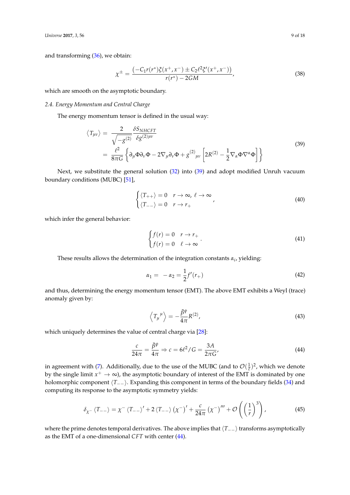and transforming [\(36\)](#page-8-1), we obtain:

<span id="page-9-2"></span>
$$
\chi^{\pm} = \frac{\left(-C_1 r(r^*)\xi(x^+, x^-) \pm C_2 \ell^2 \xi'(x^+, x^-)\right)}{r(r^*) - 2GM},\tag{38}
$$

which are smooth on the asymptotic boundary.

## *2.4. Energy Momentum and Central Charge*

The energy momentum tensor is defined in the usual way:

$$
\langle T_{\mu\nu} \rangle = \frac{2}{\sqrt{-g^{(2)}}} \frac{\delta S_{NHCFT}}{\delta g^{(2)\mu\nu}} \n= \frac{\ell^2}{8\pi G} \left\{ \partial_\mu \Phi \partial_\nu \Phi - 2 \nabla_\mu \partial_\nu \Phi + g^{(2)}_{\mu\nu} \left[ 2R^{(2)} - \frac{1}{2} \nabla_\alpha \Phi \nabla^\alpha \Phi \right] \right\}
$$
\n(39)

Next, we substitute the general solution [\(32\)](#page-8-2) into [\(39\)](#page-9-0) and adopt modified Unruh vacuum boundary conditions (MUBC) [\[51\]](#page-18-16),

<span id="page-9-0"></span>
$$
\begin{cases} \langle T_{++} \rangle = 0 & r \to \infty, \ \ell \to \infty \\ \langle T_{--} \rangle = 0 & r \to r_{+} \end{cases}
$$
\n(40)

which infer the general behavior:

$$
\begin{cases} f(r) = 0 & r \to r_+ \\ f(r) = 0 & \ell \to \infty \end{cases} \tag{41}
$$

These results allows the determination of the integration constants *α<sup>i</sup>* , yielding:

$$
\alpha_1 = -\alpha_2 = \frac{1}{2}f'(r_+)
$$
\n(42)

and thus, determining the energy momentum tensor (EMT). The above EMT exhibits a Weyl (trace) anomaly given by:

<span id="page-9-1"></span>
$$
\left\langle T_{\mu}{}^{\mu}\right\rangle = -\frac{\bar{\beta}^{\psi}}{4\pi}R^{(2)},\tag{43}
$$

which uniquely determines the value of central charge via [\[28\]](#page-17-19):

$$
\frac{c}{24\pi} = \frac{\bar{\beta}^{\psi}}{4\pi} \Rightarrow c = 6\ell^2 / G = \frac{3A}{2\pi G'},
$$
\n(44)

in agreement with [\(7\)](#page-2-3). Additionally, due to the use of the MUBC (and to  $\mathcal{O}(\frac{1}{\ell})^2$ , which we denote by the single limit  $x^+ \to \infty$ ), the asymptotic boundary of interest of the EMT is dominated by one holomorphic component  $\langle T_{--} \rangle$ . Expanding this component in terms of the boundary fields [\(34\)](#page-8-3) and computing its response to the asymptotic symmetry yields:

$$
\delta_{\chi^-} \langle T_{--} \rangle = \chi^- \langle T_{--} \rangle' + 2 \langle T_{--} \rangle \left( \chi^- \right)' + \frac{c}{24\pi} \left( \chi^- \right)''' + \mathcal{O}\left( \left( \frac{1}{r} \right)^3 \right), \tag{45}
$$

where the prime denotes temporal derivatives. The above implies that  $\langle T_{−-} \rangle$  transforms asymptotically as the EMT of a one-dimensional *CFT* with center [\(44\)](#page-9-1).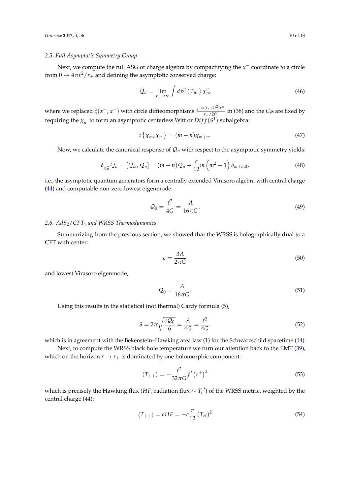## <span id="page-10-0"></span>*2.5. Full Asymptotic Symmetry Group*

Next, we compute the full ASG or charge algebra by compactifying the *x*<sup>−</sup> coordinate to a circle from  $0 \to 4\pi\ell^2/r_+$  and defining the asymptotic conserved charge:

$$
\mathcal{Q}_n = \lim_{x^+ \to \infty} \int dx^\mu \left\langle T_{\mu\nu} \right\rangle \chi_{n'}^\nu \tag{46}
$$

where we replaced  $\zeta(x^+, x^-)$  with circle diffieomorphisms  $\frac{e^{-in(r_+/2l^2)x^{\pm}}}{r_+/2l^2}$  $\frac{1}{r+1/2\ell^2}$  in [\(38\)](#page-9-2) and the *C*<sub>*i*</sub>s are fixed by requiring the  $\chi_n^-$  to form an asymptotic centerless Witt or  $Diff(S^1)$  subalgebra:

$$
i\left\{\chi_m^-, \chi_n^-\right\} = (m-n)\chi_{m+n}^-.
$$
\n(47)

Now, we calculate the canonical response of  $\mathcal{Q}_n$  with respect to the asymptotic symmetry yields:

$$
\delta_{\chi_m^-} \mathcal{Q}_n = [\mathcal{Q}_m, \mathcal{Q}_n] = (m - n) \mathcal{Q}_n + \frac{c}{12} m \left( m^2 - 1 \right) \delta_{m+n,0},\tag{48}
$$

i.e., the asymptotic quantum generators form a centrally extended Virasoro algebra with central charge [\(44\)](#page-9-1) and computable non-zero lowest eigenmode:

$$
Q_0 = \frac{\ell^2}{4G} = \frac{A}{16\pi G}.
$$
\n(49)

## *2.6. AdS*2/*CFT*<sup>1</sup> *and WRSS Thermodynamics*

Summarizing from the previous section, we showed that the WRSS is holographically dual to a CFT with center:

$$
c = \frac{3A}{2\pi G} \tag{50}
$$

and lowest Virasoro eigenmode,

$$
\mathcal{Q}_0 = \frac{A}{16\pi G}.\tag{51}
$$

Using this results in the statistical (not thermal) Cardy formula [\(5\)](#page-2-1),

$$
S = 2\pi \sqrt{\frac{cQ_0}{6}} = \frac{A}{4G} = \frac{\ell^2}{4G'},
$$
\n(52)

which is in agreement with the Bekenstein–Hawking area law [\(1\)](#page-1-0) for the Schwarzschild spacetime [\(14\)](#page-5-0).

Next, to compute the WRSS black hole temperature we turn our attention back to the EMT [\(39\)](#page-9-0), which on the horizon  $r \rightarrow r_+$  is dominated by one holomorphic component:

$$
\langle T_{++} \rangle = -\frac{\ell^2}{32\pi G} f'\left(r^+\right)^2 \tag{53}
$$

which is precisely the Hawking flux (*HF*, radiation flux ∼ *T t r* ) of the WRSS metric, weighted by the central charge [\(44\)](#page-9-1):

$$
\langle T_{++} \rangle = cHF = -c\frac{\pi}{12} \left( T_H \right)^2 \tag{54}
$$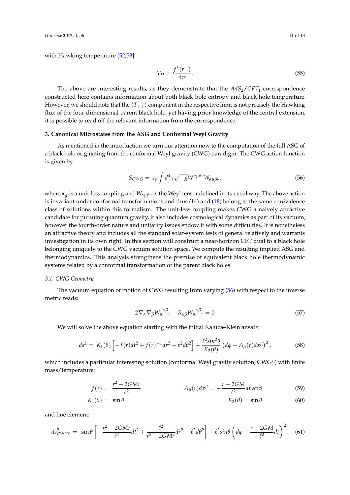with Hawking temperature [\[52,](#page-18-17)[53\]](#page-18-18)

$$
T_H = \frac{f'(r^+)}{4\pi}.\tag{55}
$$

The above are interesting results, as they demonstrate that the  $AdS_2/CFT_1$  correspondence constructed here contains information about both black hole entropy and black hole temperature. However, we should note that the  $\langle T_{++} \rangle$  component in the respective limit is not precisely the Hawking flux of the four-dimensional parent black hole, yet having prior knowledge of the central extension, it is possible to read off the relevant information from the correspondence.

## **3. Canonical Microstates from the ASG and Conformal Weyl Gravity**

As mentioned in the introduction we turn our attention now to the computation of the full ASG of a black hole originating from the conformal Weyl gravity (CWG) paradigm. The CWG action function is given by,

<span id="page-11-0"></span>
$$
S_{CWG} = \alpha_g \int d^4x \sqrt{-g} W^{\alpha\mu\beta\nu} W_{\alpha\mu\beta\nu},
$$
\n(56)

where *α<sup>g</sup>* is a unit-less coupling and *Wαµβν* is the Weyl tensor defined in its usual way. The above action is invariant under conformal transformations and thus [\(14\)](#page-5-0) and [\(18\)](#page-5-2) belong to the same equivalence class of solutions within this formalism. The unit-less coupling makes CWG a naively attractive candidate for pursuing quantum gravity, it also includes cosmological dynamics as part of its vacuum, however the fourth-order nature and unitarity issues endow it with some difficulties. It is nonetheless an attractive theory and includes all the standard solar-system tests of general relatively and warrants investigation in its own right. In this section will construct a near-horizon CFT dual to a black hole belonging uniquely to the CWG vacuum solution space. We compute the resulting implied ASG and thermodynamics. This analysis strengthens the premise of equivalent black hole thermodynamic systems related by a conformal transformation of the parent black holes.

## *3.1. CWG Geometry*

The vacuum equation of motion of CWG resulting from varying [\(56\)](#page-11-0) with respect to the inverse metric reads:

<span id="page-11-1"></span>
$$
2\nabla_{\alpha}\nabla_{\beta}W_{\mu}^{\ \alpha\beta}_{\ \ \nu} + R_{\alpha\beta}W_{\mu}^{\ \alpha\beta}_{\ \ \nu} = 0 \tag{57}
$$

We will solve the above equation starting with the initial Kaluza–Klein ansatz:

$$
ds^{2} = K_{1}(\theta) \left[ -f(r)dt^{2} + f(r)^{-1}dr^{2} + \ell^{2}d\theta^{2} \right] + \frac{\ell^{2}sin^{2}\theta}{K_{2}(\theta)} \left( d\phi - A_{\mu}(r)dx^{\mu} \right)^{2}, \tag{58}
$$

which includes a particular interesting solution (conformal Weyl gravity solution, CWGS) with finite mass/temperature:

$$
f(r) = \frac{r^2 - 2GMr}{\ell^2} \qquad A_{\mu}(r)dx^{\mu} = -\frac{r - 2GM}{\ell^2}dt \text{ and}
$$
 (59)

$$
K_1(\theta) = \sin \theta \qquad K_2(\theta) = \sin \theta \qquad (60)
$$

and line element:

$$
ds_{C WGS}^2 = \sin \theta \left[ -\frac{r^2 - 2GMr}{\ell^2} dt^2 + \frac{\ell^2}{r^2 - 2GMr} dr^2 + \ell^2 d\theta^2 \right] + \ell^2 \sin \theta \left( d\phi + \frac{r - 2GM}{\ell^2} dt \right)^2.
$$
 (61)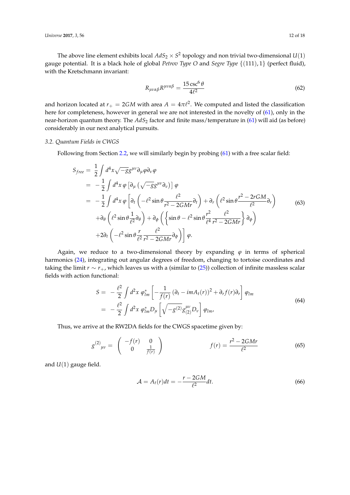The above line element exhibits local  $AdS_2\times S^2$  topology and non trivial two-dimensional  $U(1)$ gauge potential. It is a black hole of global *Petrov Type O* and *Segre Type* {(111), 1} (perfect fluid), with the Kretschmann invariant:

$$
R_{\mu\nu\alpha\beta}R^{\mu\nu\alpha\beta} = \frac{15\csc^6\theta}{4\ell^2} \tag{62}
$$

and horizon located at  $r_+ = 2GM$  with area  $A = 4\pi \ell^2$ . We computed and listed the classification here for completeness, however in general we are not interested in the novelty of [\(61\)](#page-11-1), only in the near-horizon quantum theory. The *AdS*<sub>2</sub> factor and finite mass/temperature in [\(61\)](#page-11-1) will aid (as before) considerably in our next analytical pursuits.

#### *3.2. Quantum Fields in CWGS*

Following from Section [2.2,](#page-6-1) we will similarly begin by probing [\(61\)](#page-11-1) with a free scalar field:

$$
S_{free} = \frac{1}{2} \int d^4x \sqrt{-g} g^{\mu\nu} \partial_{\mu} \varphi \partial_{\nu} \varphi
$$
  
\n
$$
= -\frac{1}{2} \int d^4x \varphi \left[ \partial_{\mu} \left( \sqrt{-g} g^{\mu\nu} \partial_{\nu} \right) \right] \varphi
$$
  
\n
$$
= -\frac{1}{2} \int d^4x \varphi \left[ \partial_t \left( -\ell^2 \sin \theta \frac{\ell^2}{r^2 - 2GMr} \partial_t \right) + \partial_r \left( \ell^2 \sin \theta \frac{r^2 - 2rGM}{\ell^2} \partial_r \right) \right]
$$
  
\n
$$
+ \partial_{\theta} \left( \ell^2 \sin \theta \frac{1}{\ell^2} \partial_{\theta} \right) + \partial_{\phi} \left( \left\{ \sin \theta - \ell^2 \sin \theta \frac{r^2}{\ell^4} \frac{\ell^2}{r^2 - 2GMr} \right\} \partial_{\phi} \right)
$$
  
\n
$$
+ 2\partial_t \left( -\ell^2 \sin \theta \frac{r}{\ell^2} \frac{\ell^2}{r^2 - 2GMr} \partial_{\phi} \right) \right] \varphi.
$$
 (63)

Again, we reduce to a two-dimensional theory by expanding  $\varphi$  in terms of spherical harmonics [\(24\)](#page-7-4), integrating out angular degrees of freedom, changing to tortoise coordinates and taking the limit *r* ∼ *r*+, which leaves us with a (similar to [\(25\)](#page-7-0)) collection of infinite massless scalar fields with action functional:

$$
S = -\frac{\ell^2}{2} \int d^2x \; \varphi_{lm}^* \left[ -\frac{1}{f(r)} \left( \partial_t - imA_t(r) \right)^2 + \partial_r f(r) \partial_r \right] \varphi_{lm} = -\frac{\ell^2}{2} \int d^2x \; \varphi_{lm}^* D_\mu \left[ \sqrt{-g^{(2)}} g_{(2)}^{\mu\nu} D_\nu \right] \varphi_{lm},
$$
(64)

Thus, we arrive at the RW2DA fields for the CWGS spacetime given by:

$$
g^{(2)}_{\mu\nu} = \begin{pmatrix} -f(r) & 0\\ 0 & \frac{1}{f(r)} \end{pmatrix} \qquad f(r) = \frac{r^2 - 2GMr}{\ell^2} \tag{65}
$$

and *U*(1) gauge field.

<span id="page-12-1"></span><span id="page-12-0"></span>
$$
\mathcal{A} = A_t(r)dt = -\frac{r - 2GM}{\ell^2}dt.
$$
\n(66)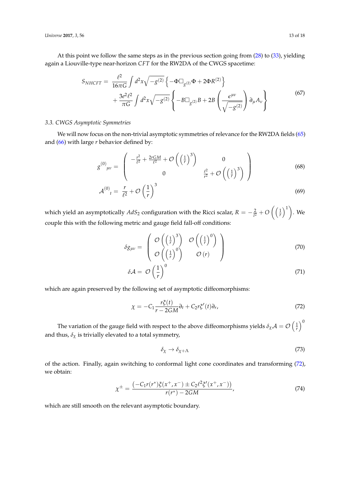At this point we follow the same steps as in the previous section going from [\(28\)](#page-7-1) to [\(33\)](#page-8-4), yielding again a Liouville-type near-horizon *CFT* for the RW2DA of the CWGS spacetime:

$$
S_{NHCFT} = \frac{\ell^2}{16\pi G} \int d^2x \sqrt{-g^{(2)}} \left\{-\Phi \Box_{g^{(2)}} \Phi + 2\Phi R^{(2)}\right\} + \frac{3e^2 \ell^2}{\pi G} \int d^2x \sqrt{-g^{(2)}} \left\{-B \Box_{g^{(2)}} B + 2B \left(\frac{\epsilon^{\mu\nu}}{\sqrt{-g^{(2)}}}\right) \partial_{\mu} A_{\nu}\right\}
$$
(67)

## *3.3. CWGS Asymptotic Symmetries*

We will now focus on the non-trivial asymptotic symmetries of relevance for the RW2DA fields [\(65\)](#page-12-0) and [\(66\)](#page-12-1) with large *r* behavior defined by:

$$
g^{(0)}_{\mu\nu} = \begin{pmatrix} -\frac{r^2}{\ell^2} + \frac{2rGM}{\ell^2} + \mathcal{O}\left(\left(\frac{1}{r}\right)^3\right) & 0\\ 0 & \frac{\ell^2}{r^2} + \mathcal{O}\left(\left(\frac{1}{r}\right)^3\right) \end{pmatrix}
$$
(68)

$$
\mathcal{A}^{(0)}_{t} = \frac{r}{\ell^2} + \mathcal{O}\left(\frac{1}{r}\right)^3 \tag{69}
$$

which yield an asymptotically  $AdS_2$  configuration with the Ricci scalar,  $R=-\frac{2}{l^2}+O\left(\left(\frac{1}{r}\right)^1\right)$ . We couple this with the following metric and gauge field fall-off conditions:

<span id="page-13-1"></span>
$$
\delta g_{\mu\nu} = \begin{pmatrix} \mathcal{O}\left(\left(\frac{1}{r}\right)^3\right) & \mathcal{O}\left(\left(\frac{1}{r}\right)^0\right) \\ \mathcal{O}\left(\left(\frac{1}{r}\right)^0\right) & \mathcal{O}\left(r\right) \end{pmatrix}
$$
(70)

$$
\delta \mathcal{A} = \mathcal{O}\left(\frac{1}{r}\right)^0 \tag{71}
$$

which are again preserved by the following set of asymptotic diffeomorphisms:

$$
\chi = -C_1 \frac{r\xi(t)}{r - 2GM} \partial_t + C_2 r\xi'(t) \partial_r,\tag{72}
$$

The variation of the gauge field with respect to the above diffeomorphisms yields  $\delta_\chi {\cal A}={\cal O}\left(\frac{1}{r}\right)^0$ and thus,  $\delta_{\chi}$  is trivially elevated to a total symmetry,

<span id="page-13-0"></span>
$$
\delta_{\chi} \to \delta_{\chi + \Lambda} \tag{73}
$$

of the action. Finally, again switching to conformal light cone coordinates and transforming [\(72\)](#page-13-0), we obtain:

$$
\chi^{\pm} = \frac{\left(-C_1 r(r^*)\xi(x^+, x^-) \pm C_2 \ell^2 \xi'(x^+, x^-)\right)}{r(r^*) - 2GM},\tag{74}
$$

which are still smooth on the relevant asymptotic boundary.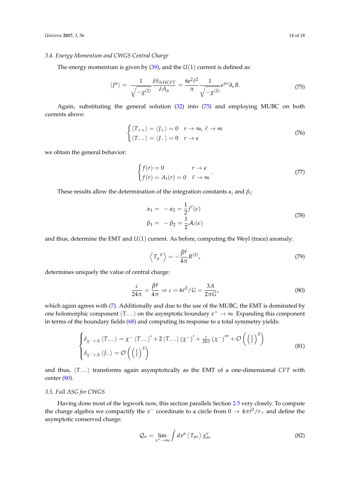#### *3.4. Energy Momentum and CWGS Central Charge*

The energy momentum is given by  $(39)$ , and the  $U(1)$  current is defined as:

$$
\langle J^{\mu} \rangle = \frac{1}{\sqrt{-g^{(2)}}} \frac{\delta S_{NHCFT}}{\delta A_{\mu}} = \frac{6e^2 \ell^2}{\pi} \frac{1}{\sqrt{-g^{(2)}}} \epsilon^{\mu \nu} \partial_{\nu} B. \tag{75}
$$

Again, substituting the general solution [\(32\)](#page-8-2) into [\(75\)](#page-14-0) and employing MUBC on both currents above:

<span id="page-14-0"></span>
$$
\begin{cases} \langle T_{++} \rangle = \langle J_{+} \rangle = 0 & r \to \infty, \ \ell \to \infty \\ \langle T_{--} \rangle = \langle J_{-} \rangle = 0 & r \to \epsilon \end{cases}
$$
 (76)

we obtain the general behavior:

$$
\begin{cases}\nf(r) = 0 & r \to \epsilon \\
f(r) = A_t(r) = 0 & \ell \to \infty\n\end{cases} \tag{77}
$$

These results allow the determination of the integration constants  $\alpha_i$  and  $\beta_i$ :

$$
\alpha_1 = -\alpha_2 = \frac{1}{2} f'(\epsilon)
$$
  
\n
$$
\beta_1 = -\beta_2 = \frac{1}{2} \mathcal{A}_t(\epsilon)
$$
\n(78)

and thus, determine the EMT and *U*(1) current. As before, computing the Weyl (trace) anomaly:

<span id="page-14-1"></span>
$$
\left\langle T_{\mu}{}^{\mu}\right\rangle = -\frac{\bar{\beta}^{\psi}}{4\pi}R^{(2)},\tag{79}
$$

determines uniquely the value of central charge:

$$
\frac{c}{24\pi} = \frac{\bar{\beta}^{\psi}}{4\pi} \Rightarrow c = 6\ell^2 / G = \frac{3A}{2\pi G'},
$$
\n(80)

which again agrees with [\(7\)](#page-2-3). Additionally and due to the use of the MUBC, the EMT is dominated by one holomorphic component  $\langle T_{-+} \rangle$  on the asymptotic boundary  $x^+ \to \infty$ . Expanding this component in terms of the boundary fields [\(68\)](#page-13-1) and computing its response to a total symmetry yields:

$$
\begin{cases} \delta_{\chi^-+\Lambda} \left\langle T_{--} \right\rangle = \chi^- \left\langle T_{--} \right\rangle' + 2 \left\langle T_{--} \right\rangle \left( \chi^- \right)' + \frac{c}{24\pi} \left( \chi^- \right)''' + \mathcal{O}\left( \left(\frac{1}{r}\right)^3 \right) \\ \delta_{\chi^-+\Lambda} \left\langle J_{-} \right\rangle = \mathcal{O}\left( \left(\frac{1}{r}\right)^3 \right) \end{cases}
$$
(81)

and thus,  $\langle T_{−} \rangle$  transforms again asymptotically as the EMT of a one-dimensional *CFT* with center [\(80\)](#page-14-1).

## *3.5. Full ASG for CWGS*

Having done most of the legwork now, this section parallels Section [2.5](#page-10-0) very closely. To compute the charge algebra we compactify the  $x^-$  coordinate to a circle from  $0 \to 4\pi \ell^2/r_+$  and define the asymptotic conserved charge:

<span id="page-14-2"></span>
$$
\mathcal{Q}_n = \lim_{x^+ \to \infty} \int dx^\mu \left\langle T_{\mu\nu} \right\rangle \chi^\nu_{n'}
$$
\n(82)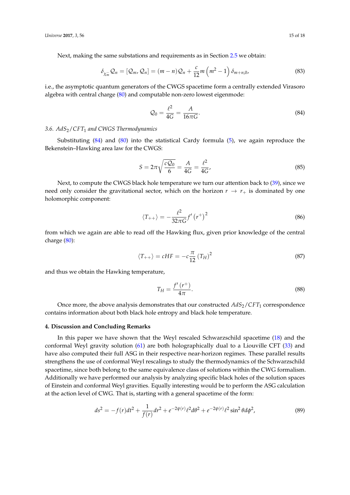Next, making the same substations and requirements as in Section [2.5](#page-10-0) we obtain:

$$
\delta_{\chi_m^-} \mathcal{Q}_n = [\mathcal{Q}_m, \mathcal{Q}_n] = (m - n) \mathcal{Q}_n + \frac{c}{12} m \left( m^2 - 1 \right) \delta_{m+n,0},\tag{83}
$$

i.e., the asymptotic quantum generators of the CWGS spacetime form a centrally extended Virasoro algebra with central charge [\(80\)](#page-14-1) and computable non-zero lowest eigenmode:

<span id="page-15-0"></span>
$$
Q_0 = \frac{\ell^2}{4G} = \frac{A}{16\pi G}.
$$
\n(84)

## *3.6. AdS*2/*CFT*<sup>1</sup> *and CWGS Thermodynamics*

Substituting [\(84\)](#page-15-0) and [\(80\)](#page-14-1) into the statistical Cardy formula [\(5\)](#page-2-1), we again reproduce the Bekenstein–Hawking area law for the CWGS:

$$
S = 2\pi \sqrt{\frac{cQ_0}{6}} = \frac{A}{4G} = \frac{\ell^2}{4G},
$$
\n(85)

Next, to compute the CWGS black hole temperature we turn our attention back to [\(39\)](#page-9-0), since we need only consider the gravitational sector, which on the horizon  $r \rightarrow r_{+}$  is dominated by one holomorphic component:

$$
\langle T_{++} \rangle = -\frac{\ell^2}{32\pi G} f' (r^+)^2 \tag{86}
$$

from which we again are able to read off the Hawking flux, given prior knowledge of the central charge [\(80\)](#page-14-1):

$$
\langle T_{++} \rangle = cHF = -c\frac{\pi}{12} \left( T_H \right)^2 \tag{87}
$$

and thus we obtain the Hawking temperature,

$$
T_H = \frac{f'(r^+)}{4\pi}.
$$
\n(88)

Once more, the above analysis demonstrates that our constructed  $AdS_2/CFT_1$  correspondence contains information about both black hole entropy and black hole temperature.

## **4. Discussion and Concluding Remarks**

In this paper we have shown that the Weyl rescaled Schwarzschild spacetime [\(18\)](#page-5-2) and the conformal Weyl gravity solution [\(61\)](#page-11-1) are both holographically dual to a Liouville CFT [\(33\)](#page-8-4) and have also computed their full ASG in their respective near-horizon regimes. These parallel results strengthens the use of conformal Weyl rescalings to study the thermodynamics of the Schwarzschild spacetime, since both belong to the same equivalence class of solutions within the CWG formalism. Additionally we have performed our analysis by analyzing specific black holes of the solution spaces of Einstein and conformal Weyl gravities. Equally interesting would be to perform the ASG calculation at the action level of CWG. That is, starting with a general spacetime of the form:

$$
ds^{2} = -f(r)dt^{2} + \frac{1}{f(r)}dr^{2} + e^{-2\psi(r)}\ell^{2}d\theta^{2} + e^{-2\psi(r)}\ell^{2}\sin^{2}\theta d\phi^{2},
$$
\n(89)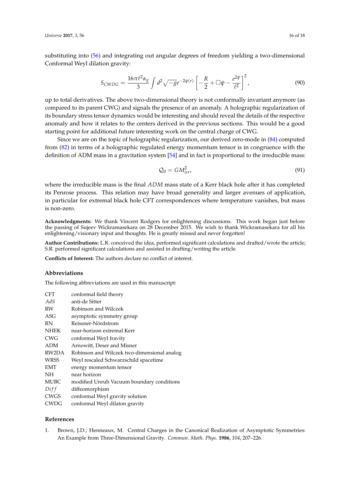substituting into [\(56\)](#page-11-0) and integrating out angular degrees of freedom yielding a two-dimensional Conformal Weyl dilation gravity:

$$
S_{CWDG} = \frac{16\pi\ell^2\alpha_g}{3} \int d^2\sqrt{-g}e^{-2\psi(r)} \left[ -\frac{R}{2} + \Box\psi - \frac{e^{2\psi}}{\ell^2} \right]^2, \tag{90}
$$

up to total derivatives. The above two-dimensional theory is not conformally invariant anymore (as compared to its parent CWG) and signals the presence of an anomaly. A holographic regularization of its boundary stress tensor dynamics would be interesting and should reveal the details of the respective anomaly and how it relates to the centers derived in the previous sections. This would be a good starting point for additional future interesting work on the central charge of CWG.

Since we are on the topic of holographic regularization, our derived zero-mode in [\(84\)](#page-15-0) computed from [\(82\)](#page-14-2) in terms of a holographic regulated energy momentum tensor is in congruence with the definition of ADM mass in a gravitation system [\[54\]](#page-18-19) and in fact is proportional to the irreducible mass:

$$
\mathcal{Q}_0 = GM_{irr}^2,\tag{91}
$$

where the irreducible mass is the final *ADM* mass state of a Kerr black hole after it has completed its Penrose process. This relation may have broad generality and larger avenues of application, in particular for extremal black hole CFT correspondences where temperature vanishes, but mass is non-zero.

**Acknowledgments:** We thank Vincent Rodgers for enlightening discussions. This work began just before the passing of Sujeev Wickramasekara on 28 December 2015. We wish to thank Wickramasekara for all his enlightening/visionary input and thoughts. He is greatly missed and never forgotten!

**Author Contributions:** L.R. conceived the idea, performed significant calculations and drafted/wrote the article; S.R. performed significant calculations and assisted in drafting/writing the article.

**Conflicts of Interest:** The authors declare no conflict of interest.

#### **Abbreviations**

The following abbreviations are used in this manuscript:

| CFT   | conformal field theory                      |
|-------|---------------------------------------------|
| AdS   | anti-de Sitter                              |
| RW    | Robinson and Wilczek                        |
| ASG   | asymptotic symmetry group                   |
| RN    | Reissner-Nördstrom                          |
| NHEK  | near-horizon extremal Kerr                  |
| CWG   | conformal Weyl fravity                      |
| ADM   | Arnowitt, Deser and Misner                  |
| RW2DA | Robinson and Wilczek two-dimensional analog |
| WRSS  | Weyl rescaled Schwarzschild spacetime       |
| EMT   | energy momentum tensor                      |
| NΉ    | near horizon                                |
| MUBC  | modified Unruh Vacuum boundary conditions   |
| Diff  | diffeomorphism                              |
| CWGS  | conformal Weyl gravity solution             |
| CWDG  | conformal Weyl dilaton gravity              |

## **References**

<span id="page-16-0"></span>1. Brown, J.D.; Henneaux, M. Central Charges in the Canonical Realization of Asymptotic Symmetries: An Example from Three-Dimensional Gravity. *Commun. Math. Phys.* **1986**, *104*, 207–226.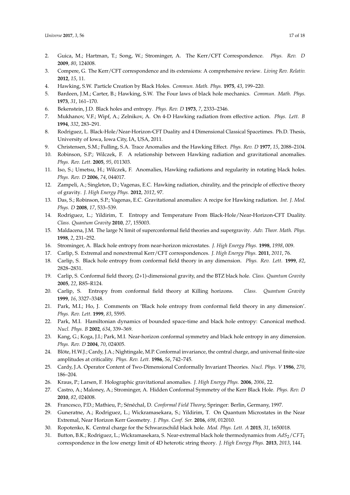- <span id="page-17-0"></span>2. Guica, M.; Hartman, T.; Song, W.; Strominger, A. The Kerr/CFT Correspondence. *Phys. Rev. D* **2009**, *80*, 124008.
- <span id="page-17-1"></span>3. Compere, G. The Kerr/CFT correspondence and its extensions: A comprehensive review. *Living Rev. Relativ.* **2012**, *15*, 11.
- <span id="page-17-2"></span>4. Hawking, S.W. Particle Creation by Black Holes. *Commun. Math. Phys.* **1975**, *43*, 199–220.
- 5. Bardeen, J.M.; Carter, B.; Hawking, S.W. The Four laws of black hole mechanics. *Commun. Math. Phys.* **1973**, *31*, 161–170.
- <span id="page-17-3"></span>6. Bekenstein, J.D. Black holes and entropy. *Phys. Rev. D* **1973**, *7*, 2333–2346.
- <span id="page-17-4"></span>7. Mukhanov, V.F.; Wipf, A.; Zelnikov, A. On 4-D Hawking radiation from effective action. *Phys. Lett. B* **1994**, *332*, 283–291.
- <span id="page-17-5"></span>8. Rodriguez, L. Black-Hole/Near-Horizon-CFT Duality and 4 Dimensional Classical Spacetimes. Ph.D. Thesis, University of Iowa, Iowa City, IA, USA, 2011.
- <span id="page-17-6"></span>9. Christensen, S.M.; Fulling, S.A. Trace Anomalies and the Hawking Effect. *Phys. Rev. D* **1977**, *15*, 2088–2104.
- <span id="page-17-7"></span>10. Robinson, S.P.; Wilczek, F. A relationship between Hawking radiation and gravitational anomalies. *Phys. Rev. Lett.* **2005**, *95*, 011303.
- <span id="page-17-25"></span>11. Iso, S.; Umetsu, H.; Wilczek, F. Anomalies, Hawking radiations and regularity in rotating black holes. *Phys. Rev. D* **2006**, *74*, 044017.
- 12. Zampeli, A.; Singleton, D.; Vagenas, E.C. Hawking radiation, chirality, and the principle of effective theory of gravity. *J. High Energy Phys.* **2012**, *2012*, 97.
- <span id="page-17-8"></span>13. Das, S.; Robinson, S.P.; Vagenas, E.C. Gravitational anomalies: A recipe for Hawking radiation. *Int. J. Mod. Phys. D* **2008**, *17*, 533–539.
- <span id="page-17-9"></span>14. Rodriguez, L.; Yildirim, T. Entropy and Temperature From Black-Hole/Near-Horizon-CFT Duality. *Class. Quantum Gravity* **2010**, *27*, 155003.
- <span id="page-17-10"></span>15. Maldacena, J.M. The large N limit of superconformal field theories and supergravity. *Adv. Theor. Math. Phys.* **1998**, *2*, 231–252.
- <span id="page-17-11"></span>16. Strominger, A. Black hole entropy from near-horizon microstates. *J. High Energy Phys.* **1998**, *1998*, 009.
- <span id="page-17-12"></span>17. Carlip, S. Extremal and nonextremal Kerr/CFT correspondences. *J. High Energy Phys.* **2011**, *2011*, 76.
- <span id="page-17-22"></span>18. Carlip, S. Black hole entropy from conformal field theory in any dimension. *Phys. Rev. Lett.* **1999**, *82*, 2828–2831.
- <span id="page-17-23"></span>19. Carlip, S. Conformal field theory, (2+1)-dimensional gravity, and the BTZ black hole. *Class. Quantum Gravity* **2005**, *22*, R85–R124.
- <span id="page-17-13"></span>20. Carlip, S. Entropy from conformal field theory at Killing horizons. *Class. Quantum Gravity* **1999**, *16*, 3327–3348.
- <span id="page-17-14"></span>21. Park, M.I.; Ho, J. Comments on 'Black hole entropy from conformal field theory in any dimension'. *Phys. Rev. Lett.* **1999**, *83*, 5595.
- <span id="page-17-20"></span>22. Park, M.I. Hamiltonian dynamics of bounded space-time and black hole entropy: Canonical method. *Nucl. Phys. B* **2002**, *634*, 339–369.
- <span id="page-17-15"></span>23. Kang, G.; Koga, J.I.; Park, M.I. Near-horizon conformal symmetry and black hole entropy in any dimension. *Phys. Rev. D* **2004**, *70*, 024005.
- <span id="page-17-16"></span>24. Blöte, H.W.J.; Cardy, J.A.; Nightingale, M.P. Conformal invariance, the central charge, and universal finite-size amplitudes at criticality. *Phys. Rev. Lett.* **1986**, *56*, 742–745.
- <span id="page-17-17"></span>25. Cardy, J.A. Operator Content of Two-Dimensional Conformally Invariant Theories. *Nucl. Phys. V* **1986**, *270*, 186–204.
- <span id="page-17-18"></span>26. Kraus, P.; Larsen, F. Holographic gravitational anomalies. *J. High Energy Phys.* **2006**, *2006*, 22.
- 27. Castro, A.; Maloney, A.; Strominger, A. Hidden Conformal Symmetry of the Kerr Black Hole. *Phys. Rev. D* **2010**, *82*, 024008.
- <span id="page-17-19"></span>28. Francesco, P.D.; Mathieu, P.; Sénéchal, D. *Conformal Field Theory*; Springer: Berlin, Germany, 1997.
- <span id="page-17-21"></span>29. Guneratne, A.; Rodriguez, L.; Wickramasekara, S.; Yildirim, T. On Quantum Microstates in the Near Extremal, Near Horizon Kerr Geometry. *J. Phys. Conf. Ser.* **2016**, *698*, 012010.
- <span id="page-17-24"></span>30. Ropotenko, K. Central charge for the Schwarzschild black hole. *Mod. Phys. Lett. A* **2015**, *31*, 1650018.
- 31. Button, B.K.; Rodriguez, L.; Wickramasekara, S. Near-extremal black hole thermodynamics from *AdS*2/*CFT*<sup>1</sup> correspondence in the low energy limit of 4D heterotic string theory. *J. High Energy Phys.* **2013**, *2013*, 144.